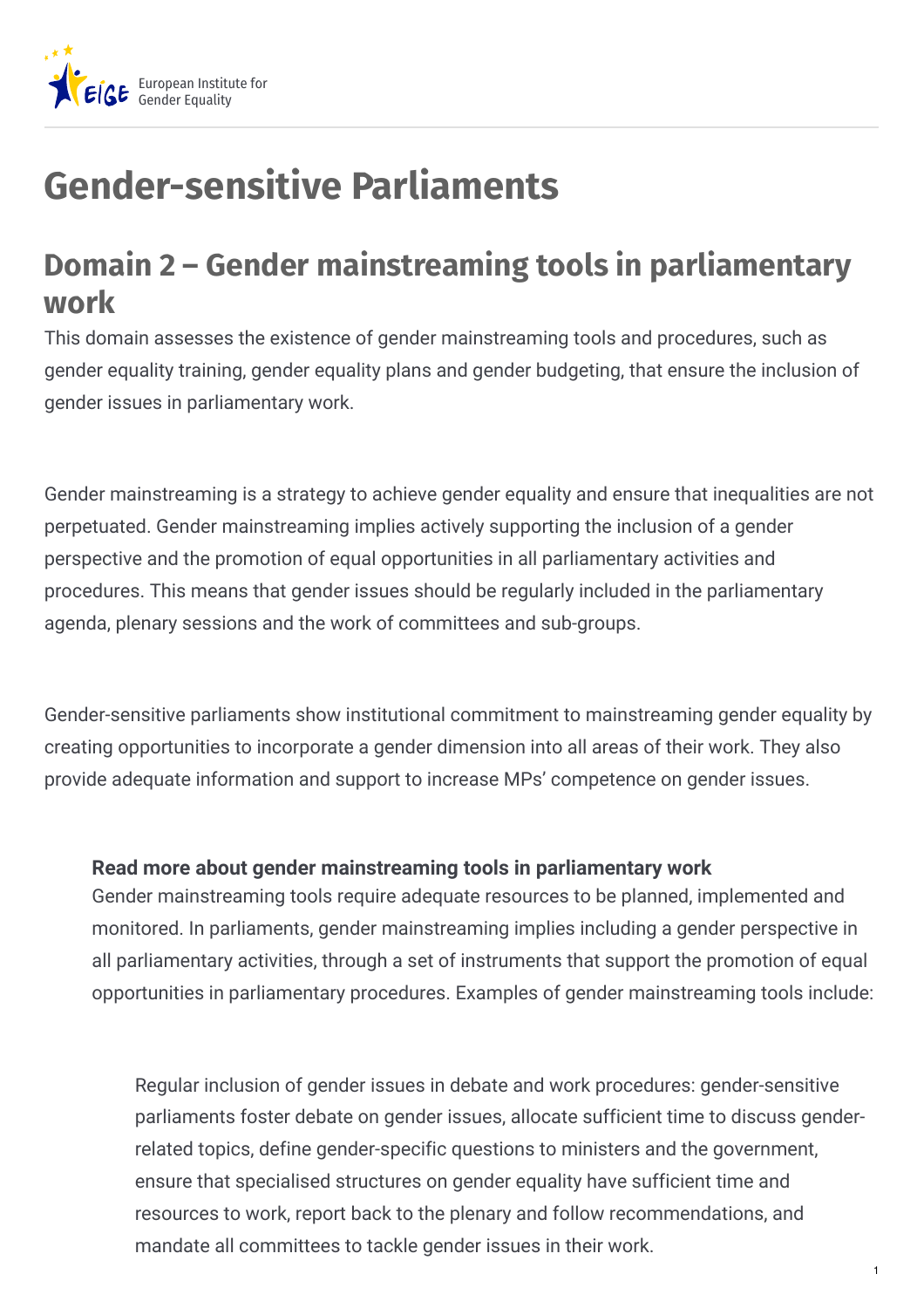

## **Gender-sensitive Parliaments**

## **Domain 2 – Gender mainstreaming tools in parliamentary work**

This domain assesses the existence of gender mainstreaming tools and procedures, such as gender equality training, gender equality plans and gender budgeting, that ensure the inclusion of gender issues in parliamentary work.

Gender mainstreaming is a strategy to achieve gender equality and ensure that inequalities are not perpetuated. Gender mainstreaming implies actively supporting the inclusion of a gender perspective and the promotion of equal opportunities in all parliamentary activities and procedures. This means that gender issues should be regularly included in the parliamentary agenda, plenary sessions and the work of committees and sub-groups.

Gender-sensitive parliaments show institutional commitment to mainstreaming gender equality by creating opportunities to incorporate a gender dimension into all areas of their work. They also provide adequate information and support to increase MPs' competence on gender issues.

## **Read more about gender mainstreaming tools in parliamentary work**

Gender mainstreaming tools require adequate resources to be planned, implemented and monitored. In parliaments, gender mainstreaming implies including a gender perspective in all parliamentary activities, through a set of instruments that support the promotion of equal opportunities in parliamentary procedures. Examples of gender mainstreaming tools include:

Regular inclusion of gender issues in debate and work procedures: gender-sensitive parliaments foster debate on gender issues, allocate sufficient time to discuss genderrelated topics, define gender-specific questions to ministers and the government, ensure that specialised structures on gender equality have sufficient time and resources to work, report back to the plenary and follow recommendations, and mandate all committees to tackle gender issues in their work.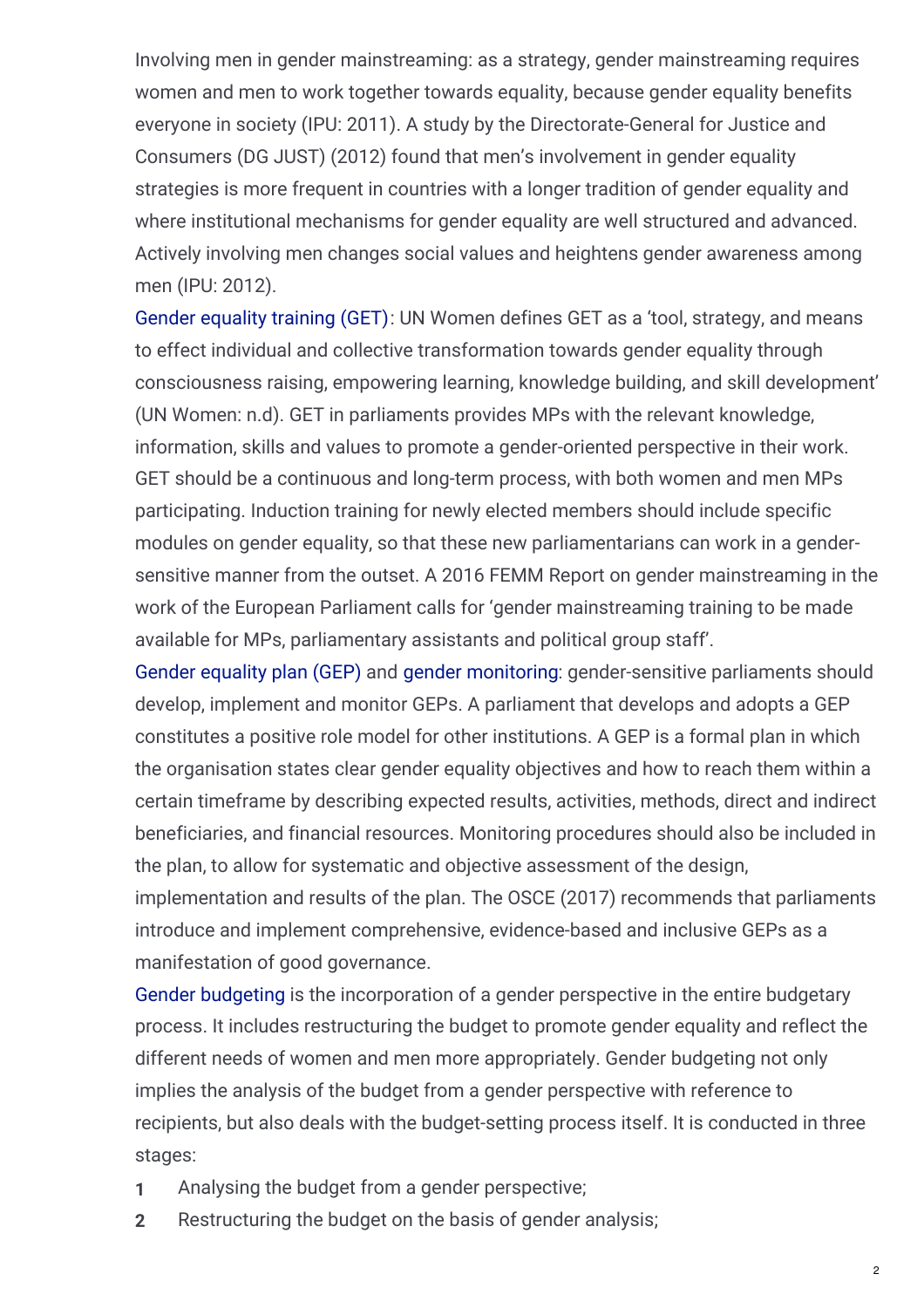Involving men in gender mainstreaming: as a strategy, gender mainstreaming requires women and men to work together towards equality, because gender equality benefits everyone in society (IPU: 2011). A study by the Directorate-General for Justice and Consumers (DG JUST) (2012) found that men's involvement in gender equality strategies is more frequent in countries with a longer tradition of gender equality and where institutional mechanisms for gender equality are well structured and advanced. Actively involving men changes social values and heightens gender awareness among men (IPU: 2012).

Gender [equality](https://eige.europa.eu/gender-mainstreaming/toolkits/gender-equality-training) training (GET): UN Women defines GET as a 'tool, strategy, and means to effect individual and collective transformation towards gender equality through consciousness raising, empowering learning, knowledge building, and skill development' (UN Women: n.d). GET in parliaments provides MPs with the relevant knowledge, information, skills and values to promote a gender-oriented perspective in their work. GET should be a continuous and long-term process, with both women and men MPs participating. Induction training for newly elected members should include specific modules on gender equality, so that these new parliamentarians can work in a gendersensitive manner from the outset. A 2016 FEMM Report on gender mainstreaming in the work of the European Parliament calls for 'gender mainstreaming training to be made available for MPs, parliamentary assistants and political group staff'.

Gender [equality](https://eige.europa.eu/gender-mainstreaming/toolkits/gear/what-gender-equality-plan-gep) plan (GEP) and gender [monitoring](https://eige.europa.eu/gender-mainstreaming/methods-tools/gender-monitoring): gender-sensitive parliaments should develop, implement and monitor GEPs. A parliament that develops and adopts a GEP constitutes a positive role model for other institutions. A GEP is a formal plan in which the organisation states clear gender equality objectives and how to reach them within a certain timeframe by describing expected results, activities, methods, direct and indirect beneficiaries, and financial resources. Monitoring procedures should also be included in the plan, to allow for systematic and objective assessment of the design, implementation and results of the plan. The OSCE (2017) recommends that parliaments introduce and implement comprehensive, evidence-based and inclusive GEPs as a

manifestation of good governance.

Gender [budgeting](https://eige.europa.eu/gender-mainstreaming/methods-tools/gender-budgeting) is the incorporation of a gender perspective in the entire budgetary process. It includes restructuring the budget to promote gender equality and reflect the different needs of women and men more appropriately. Gender budgeting not only implies the analysis of the budget from a gender perspective with reference to recipients, but also deals with the budget-setting process itself. It is conducted in three stages:

- **1** Analysing the budget from a gender perspective;
- **2** Restructuring the budget on the basis of gender analysis;